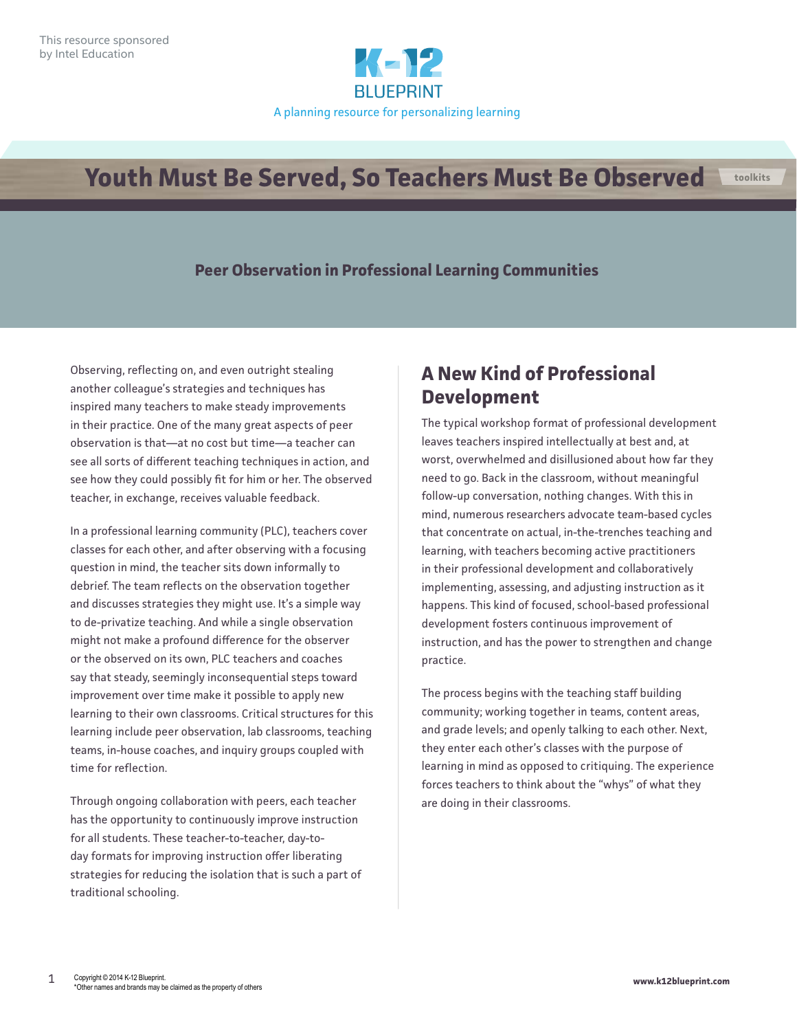

# **Youth Must Be Served, So Teachers Must Be Observed**

#### **Peer Observation in Professional Learning Communities**

Observing, reflecting on, and even outright stealing another colleague's strategies and techniques has inspired many teachers to make steady improvements in their practice. One of the many great aspects of peer observation is that—at no cost but time—a teacher can see all sorts of different teaching techniques in action, and see how they could possibly fit for him or her. The observed teacher, in exchange, receives valuable feedback.

In a professional learning community (PLC), teachers cover classes for each other, and after observing with a focusing question in mind, the teacher sits down informally to debrief. The team reflects on the observation together and discusses strategies they might use. It's a simple way to de-privatize teaching. And while a single observation might not make a profound difference for the observer or the observed on its own, PLC teachers and coaches say that steady, seemingly inconsequential steps toward improvement over time make it possible to apply new learning to their own classrooms. Critical structures for this learning include peer observation, lab classrooms, teaching teams, in-house coaches, and inquiry groups coupled with time for reflection.

Through ongoing collaboration with peers, each teacher has the opportunity to continuously improve instruction for all students. These teacher-to-teacher, day-today formats for improving instruction offer liberating strategies for reducing the isolation that is such a part of traditional schooling.

#### **A New Kind of Professional Development**

The typical workshop format of professional development leaves teachers inspired intellectually at best and, at worst, overwhelmed and disillusioned about how far they need to go. Back in the classroom, without meaningful follow-up conversation, nothing changes. With this in mind, numerous researchers advocate team-based cycles that concentrate on actual, in-the-trenches teaching and learning, with teachers becoming active practitioners in their professional development and collaboratively implementing, assessing, and adjusting instruction as it happens. This kind of focused, school-based professional development fosters continuous improvement of instruction, and has the power to strengthen and change practice.

The process begins with the teaching staff building community; working together in teams, content areas, and grade levels; and openly talking to each other. Next, they enter each other's classes with the purpose of learning in mind as opposed to critiquing. The experience forces teachers to think about the "whys" of what they are doing in their classrooms.

**toolkits**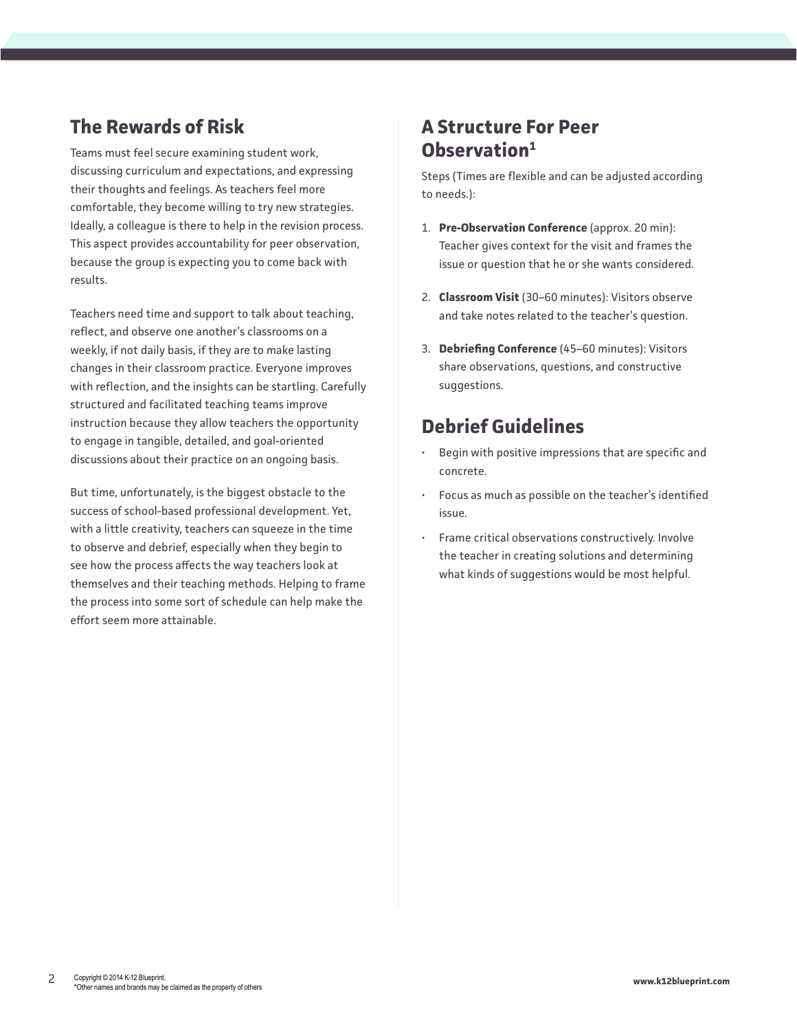### **The Rewards of Risk**

Teams must feel secure examining student work, discussing curriculum and expectations, and expressing their thoughts and feelings. As teachers feel more comfortable, they become willing to try new strategies. Ideally, a colleague is there to help in the revision process. This aspect provides accountability for peer observation, because the group is expecting you to come back with results.

Teachers need time and support to talk about teaching, reflect, and observe one another's classrooms on a weekly, if not daily basis, if they are to make lasting changes in their classroom practice. Everyone improves with reflection, and the insights can be startling. Carefully structured and facilitated teaching teams improve instruction because they allow teachers the opportunity to engage in tangible, detailed, and goal-oriented discussions about their practice on an ongoing basis.

But time, unfortunately, is the biggest obstacle to the success of school-based professional development. Yet, with a little creativity, teachers can squeeze in the time to observe and debrief, especially when they begin to see how the process affects the way teachers look at themselves and their teaching methods. Helping to frame the process into some sort of schedule can help make the effort seem more attainable.

#### **A Structure For Peer Observation1**

Steps (Times are flexible and can be adjusted according to needs.):

- 1. **Pre-Observation Conference** (approx. 20 min): Teacher gives context for the visit and frames the issue or question that he or she wants considered.
- 2. **Classroom Visit** (30–60 minutes): Visitors observe and take notes related to the teacher's question.
- 3. **Debriefing Conference** (45–60 minutes): Visitors share observations, questions, and constructive suggestions.

## **Debrief Guidelines**

- Begin with positive impressions that are specific and concrete.
- Focus as much as possible on the teacher's identified issue.
- Frame critical observations constructively. Involve the teacher in creating solutions and determining what kinds of suggestions would be most helpful.